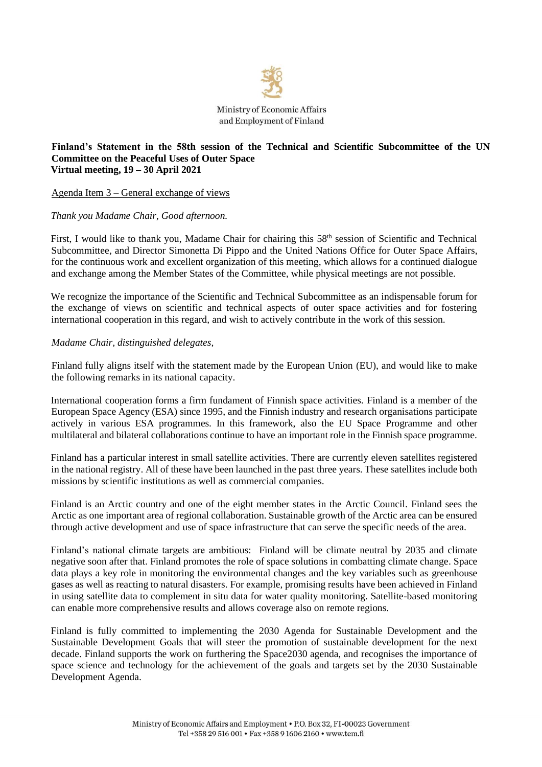

## **Finland's Statement in the 58th session of the Technical and Scientific Subcommittee of the UN Committee on the Peaceful Uses of Outer Space Virtual meeting, 19 – 30 April 2021**

Agenda Item 3 – General exchange of views

## *Thank you Madame Chair, Good afternoon.*

First, I would like to thank you, Madame Chair for chairing this 58<sup>th</sup> session of Scientific and Technical Subcommittee, and Director Simonetta Di Pippo and the United Nations Office for Outer Space Affairs, for the continuous work and excellent organization of this meeting, which allows for a continued dialogue and exchange among the Member States of the Committee, while physical meetings are not possible.

We recognize the importance of the Scientific and Technical Subcommittee as an indispensable forum for the exchange of views on scientific and technical aspects of outer space activities and for fostering international cooperation in this regard, and wish to actively contribute in the work of this session.

## *Madame Chair, distinguished delegates,*

Finland fully aligns itself with the statement made by the European Union (EU), and would like to make the following remarks in its national capacity.

International cooperation forms a firm fundament of Finnish space activities. Finland is a member of the European Space Agency (ESA) since 1995, and the Finnish industry and research organisations participate actively in various ESA programmes. In this framework, also the EU Space Programme and other multilateral and bilateral collaborations continue to have an important role in the Finnish space programme.

Finland has a particular interest in small satellite activities. There are currently eleven satellites registered in the national registry. All of these have been launched in the past three years. These satellites include both missions by scientific institutions as well as commercial companies.

Finland is an Arctic country and one of the eight member states in the Arctic Council. Finland sees the Arctic as one important area of regional collaboration. Sustainable growth of the Arctic area can be ensured through active development and use of space infrastructure that can serve the specific needs of the area.

Finland's national climate targets are ambitious: Finland will be climate neutral by 2035 and climate negative soon after that. Finland promotes the role of space solutions in combatting climate change. Space data plays a key role in monitoring the environmental changes and the key variables such as greenhouse gases as well as reacting to natural disasters. For example, promising results have been achieved in Finland in using satellite data to complement in situ data for water quality monitoring. Satellite-based monitoring can enable more comprehensive results and allows coverage also on remote regions.

Finland is fully committed to implementing the 2030 Agenda for Sustainable Development and the Sustainable Development Goals that will steer the promotion of sustainable development for the next decade. Finland supports the work on furthering the Space2030 agenda, and recognises the importance of space science and technology for the achievement of the goals and targets set by the 2030 Sustainable Development Agenda.